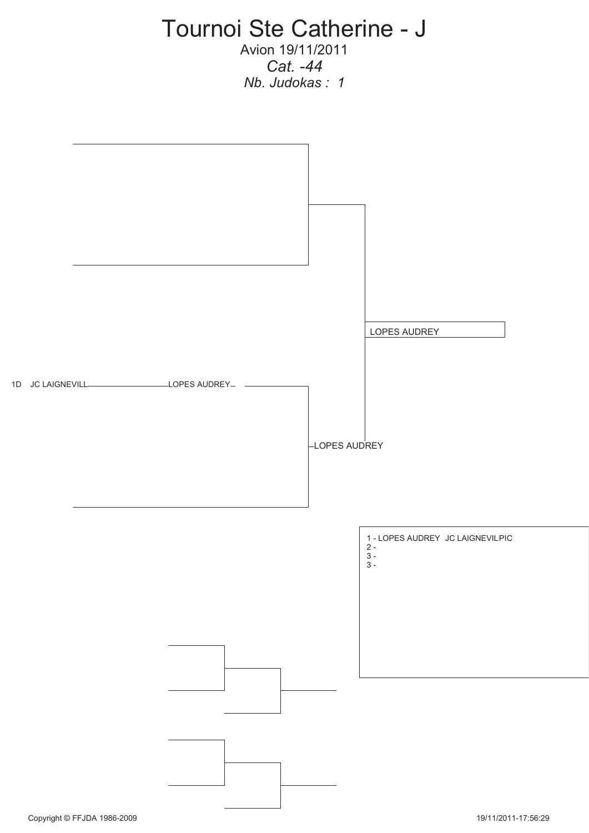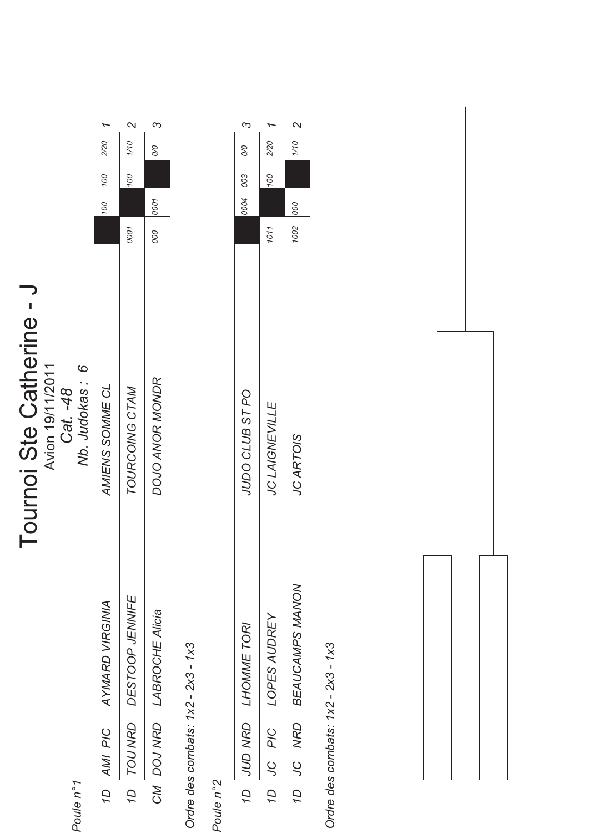## Tournoi Ste Catherine - J **Tournoi Ste Catherine - J**<br>Avion 19/11/2011<br>Cat. -48<br>Mb. Judokas : 6

Avion 19/11/2011

Poule n°1 *Poule n° 1*

|                |                   | $\sim$          | ო                      |
|----------------|-------------------|-----------------|------------------------|
|                |                   | 1/10            | 0/0                    |
|                | $100$ $100$ $220$ | 100             |                        |
|                |                   |                 |                        |
|                |                   | 0001            | 000 0001               |
| Nb. Judokas: 6 | AMIENS SOMME CL   | TOURCOING CTAM  | DOJO ANOR MONDR        |
|                | AYMARD VIRGINA    | DESTOOP JENNIFE | <b>LABROCHE Alicia</b> |
|                | 1D AMI PIC        | 1D   TOU NRD    | CM   DOJ NRD           |
| ו וישוג        |                   |                 |                        |

 $\infty$ 

 $\mathbf{\Omega}$ 

 $\overline{ }$ 

Ordre des combats: 1x2 - 2x3 - 1x3  *Ordre des combats: 1x2 - 2x3 - 1x3* 

Poule n°2 *Poule n° 2*

| ო                      |                                       | $\mathsf{N}$                                           |
|------------------------|---------------------------------------|--------------------------------------------------------|
| $\overline{0}$         | 2/20                                  | 1/10                                                   |
| 0004 003               | 00                                    |                                                        |
|                        |                                       | 000                                                    |
|                        | 1011                                  | 1002                                                   |
| JUDO CLUB ST PO        | <b>JC LAIGNEVILLE</b>                 | JC ARTOIS                                              |
| LHOMME TORI<br>JUD NRD | LOPES AUDREY<br>PIC<br>$\overline{S}$ | <b>BEAUCAMPS MANON</b><br><b>NRD</b><br>$\overline{C}$ |
| Q                      | á                                     | Q                                                      |

Ordre des combats: 1x2 - 2x3 - 1x3  *Ordre des combats: 1x2 - 2x3 - 1x3* 

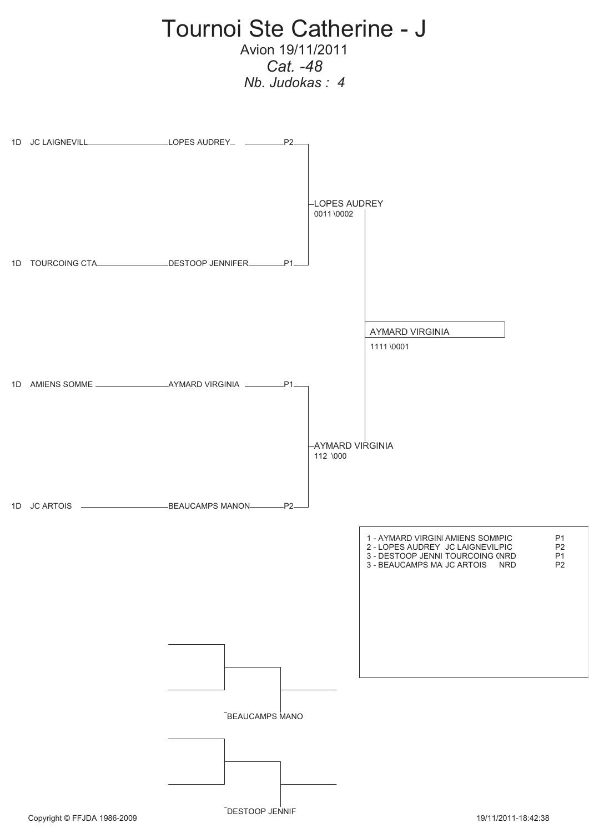

DESTOOP JENNIF

Copyright © FFJDA 1986-2009 **19/11/2011-18:42:38** 19/11/2011-18:42:38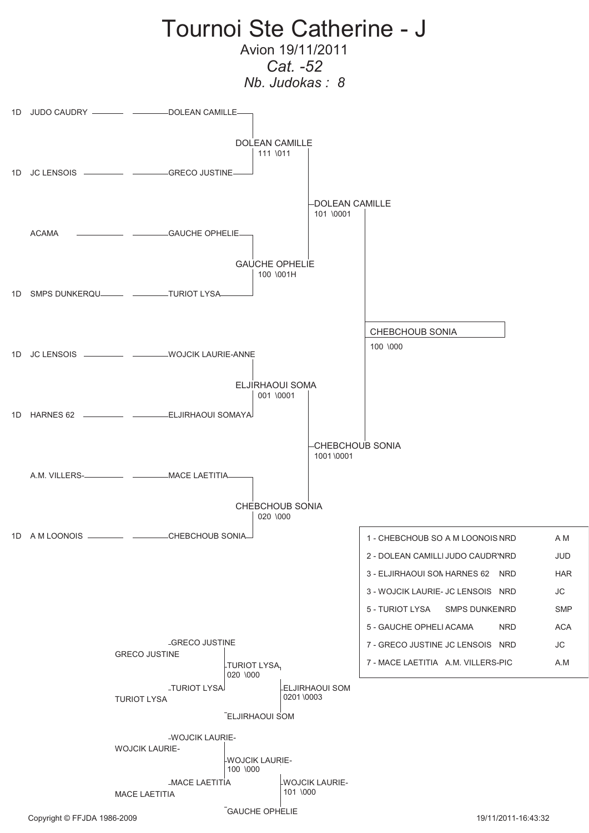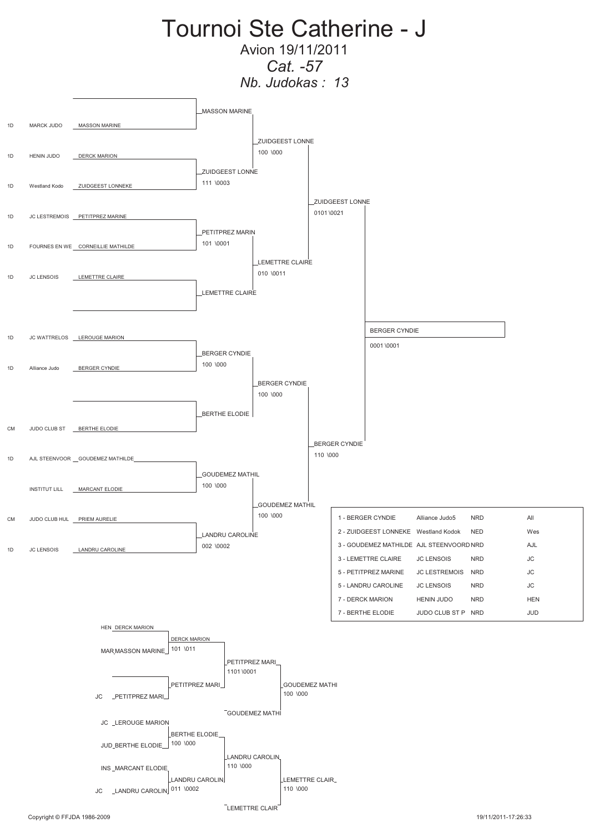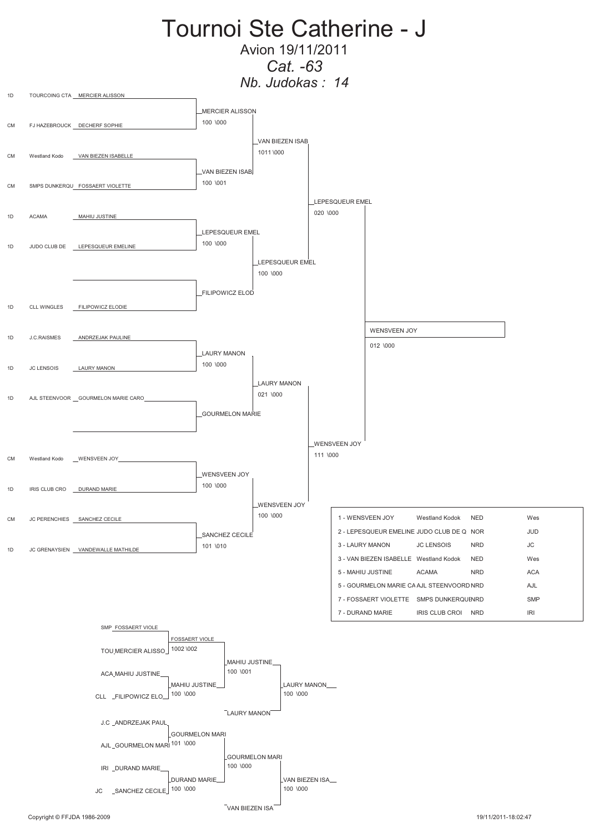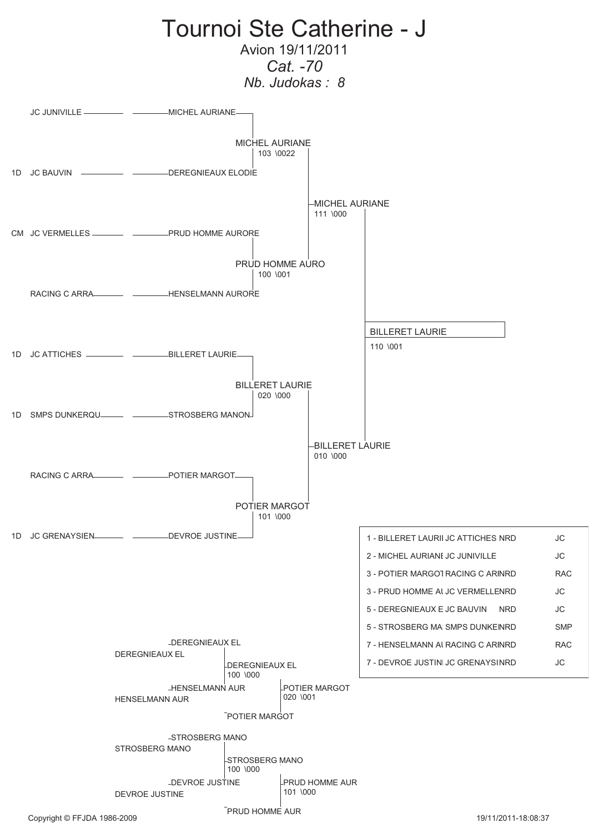